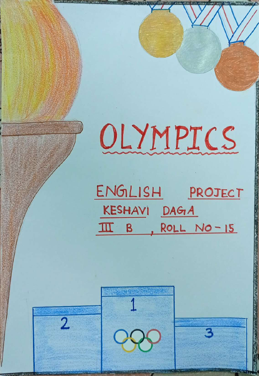## OLYMPICS

ENGLISH PROJECT KESHAVI DAGA  $\overline{11}$  B, ROLL NO-15

1

 $2$  000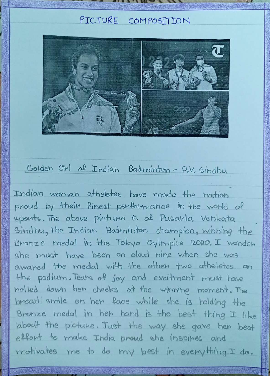## PICTURE COMPOSITION



## Golden Girl of Indian Badminton-P.V. Sindhu

Indian woman atheletes have made the nation phoud by their finest performance in the world of sponts. The above pictune is of Pusarla Venkata Gindhu, the Tndian Badminton charmpion, Wihhing the Bronze medal in the Tokyo Oylmpics 2020. I wonden she mugt have been on aloud nine wheh she was awahed the medal with the otheh two atheletes on the podium. Teans of joy and excitment must hove holled down hen cheeks ot the winning merneht. The broad smile on her face while she is holding the Brohze medal in heh hand is +he beet thing I like about the piatune. Just the way she gave hen best effont to make India proud she inspines and motivates me to do my best in everything. I do.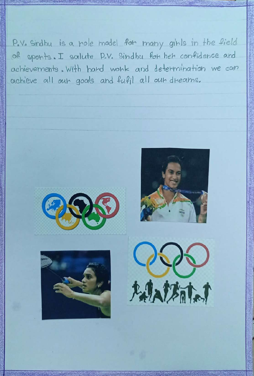P.V. Sindhu is a note madel for many gints in the field of sponts. I salute P.V. Sindha for her confidence and achievements. With hard wonk and determination we can achieve all out goals and fufil all out dreams.